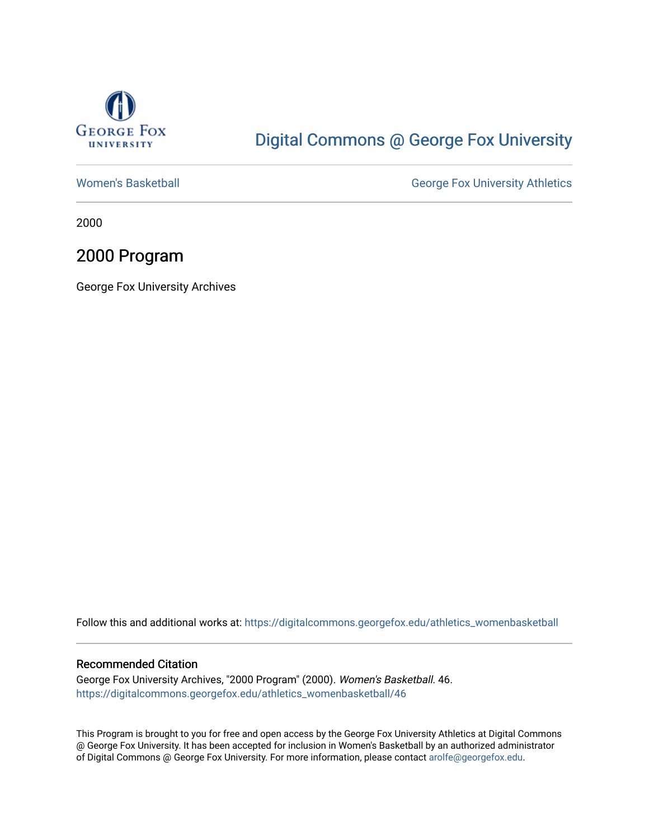

# [Digital Commons @ George Fox University](https://digitalcommons.georgefox.edu/)

[Women's Basketball](https://digitalcommons.georgefox.edu/athletics_womenbasketball) **George Fox University Athletics** 

2000

# 2000 Program

George Fox University Archives

Follow this and additional works at: [https://digitalcommons.georgefox.edu/athletics\\_womenbasketball](https://digitalcommons.georgefox.edu/athletics_womenbasketball?utm_source=digitalcommons.georgefox.edu%2Fathletics_womenbasketball%2F46&utm_medium=PDF&utm_campaign=PDFCoverPages) 

### Recommended Citation

George Fox University Archives, "2000 Program" (2000). Women's Basketball. 46. [https://digitalcommons.georgefox.edu/athletics\\_womenbasketball/46](https://digitalcommons.georgefox.edu/athletics_womenbasketball/46?utm_source=digitalcommons.georgefox.edu%2Fathletics_womenbasketball%2F46&utm_medium=PDF&utm_campaign=PDFCoverPages)

This Program is brought to you for free and open access by the George Fox University Athletics at Digital Commons @ George Fox University. It has been accepted for inclusion in Women's Basketball by an authorized administrator of Digital Commons @ George Fox University. For more information, please contact [arolfe@georgefox.edu](mailto:arolfe@georgefox.edu).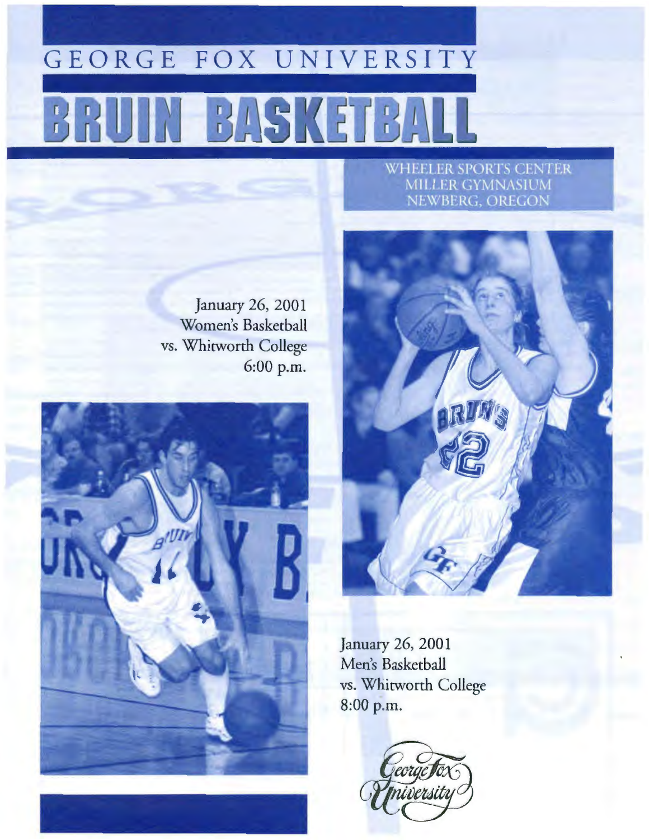# GEORGE FOX UNIVERSITY **BASK**

# **WHEELER SPORTS CENTER** MILLER GYMNASIUM<br>NEWBERG, OREGON

January 26, 2001 Women's Basketball vs. Whitworth College 6:00 p.m.





January 26, 2001 Men's Basketball vs. Whitworth College 8:00 p.m.

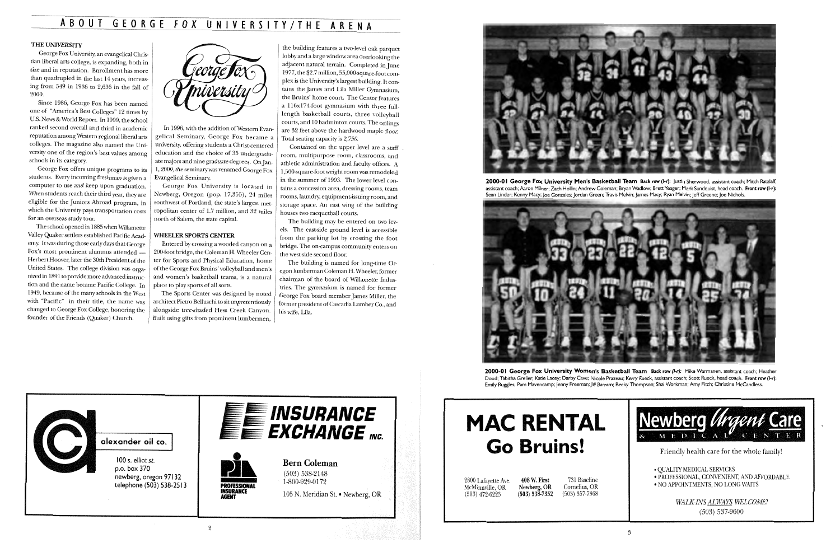# ABOUT GEORGE FOX UNIVERSITY/THE ARENA

### THE UNIVERSITY

George Fox University, an evangelical Christian liberal arts college, is expanding, both in size and in reputation. Enrollment has more than quadrupled in the last 14 years, increasing from 549 in 1986 to 2,636 in the fall of 2000.

Since 1986, George Fox has been named one of "America's Best Colleges" 12 times by U.S. News & World Report. In 1999, the school ranked second overall and third in academic reputation among Western regional liberal arts colleges. The magazine also named the University one of the region's best values among schools in its category.

George Fox offers unique programs to its students. Every incoming freshman is given a computer to use and keep upon graduation. When students reach their third year, they are eligible for the Juniors Abroad program, in which the University pays transportation costs for an overseas study tour.

In 1996, with the addition of Western Evangelical Seminary, George Fox became a university, offering students a Christ-centered education and the choice of 35 undergraduate majors and nine graduate degrees. On Jan. 1, 2000, the seminary was renamed George Fox Evangelical Seminary.

The school opened in 1885 when Willamette Valley Quaker settlers established Pacific Academy. It was during those early days that George Fox's most prominent alumnus attended -Herbert Hoover, later the 30th President of the United States. The college division was organized in 1891 to provide more advanced instruction and the name became Pacific College. In 1949, because of the many schools in the West with "Pacific" in their title, the name was changed to George Fox College, honoring the founder of the Friends (Quaker) Church.



George Fox University is located in Newberg, Oregon (pop. 17,355), 24 miles southwest of Portland, the state's largest metropolitan center of 1.7 million, and 32 miles north of Salem, the state capital.

### WHEELER SPORTS CENTER

Entered by crossing a wooded canyon on a 200-foot bridge, the Coleman H. Wheeler Center for Sports and Physical Education, home of the George Fox Bruins' volleyball and men's and women's basketball teams, is a natural place to play sports of all sorts.

The Sports Center was designed by noted architect Pietro Belluschi to sit unpretentiously alongside tree-shaded Hess Creek Canyon. Built using gifts from prominent lumbermen,

alexander oil co.

I 00 s. elliot st. p.o. box 370 newberg, oregon 97132 telephone (503) 538-2513

2

PROFESSIONAL INSURANCE AGENT

2000-01 George Fox University Women's Basketball Team Back row (I-r): Mike Warmanen, assistant coach; Heather Doud; Tabitha Greller; Katie Lacey; Darby Cave; Nicole Prazeau; Kerry Rueck, assistant coach; Scott Rueck, head coach. Front row (1-r): Emily Ruggles; Pam Mavencamp; Jenny Freeman; Jill Barram; Becky Thompson; Shai Workman; Amy Fitch; Christine McCandless.



the building features a two-level oak parquet lobby and a large window area overlooking the adjacent natural terrain. Completed in June 1977, the \$2.7 million, 55,000-square-foot complex is the University's largest building. It contains the James and Lila Miller Gymnasium, the Bruins' home court. The Center features a 116xl74-foot gymnasium with three fulllength basketball courts, three volleyball courts, and 10 badminton courts. The ceilings are 32 feet above the hardwood maple floor. Total seating capacity is 2,750.

Contained on the upper level are a staff room, multipurpose room, classrooms, and athletic administration and faculty offices. A l ,500-square-foot weight room was remodeled in the summer of 1993. The lower level contains a concession area, dressing rooms, team rooms, laundry, equipment-issuing room, and storage space. An east wing of the building houses two racquetball courts.

The building may be entered on two levels. The east-side ground level is accessible from the parking lot by crossing the foot bridge. The on-campus community enters on the west-side second floor.

The building is named for long-time Oregon lumberman Coleman H. Wheeler, former chairman of the board of Willamette Industries. The gymnasium is named for former George Fox board member James Miller, the former president of Cascadia Lumber Co., and his wife, Lila.



2000-01 George Fox University Men's Basketball Team Back row (I-r): Justin Sherwood, assistant coach; Mitch Ratzlaff, assistant coach; Aaron Milner; Zach Hollin; Andrew Coleman; Bryan Wadlow; Brett Yeager; Mark Sundquist, head coach. Front row (I-r): Sean Linder; Kenny Macy; Joe Gonzales; Jordan Green; Travis Melvin; James Macy; Ryan Melvin; Jeff Greene; Joe Nichols.







# **MAC RENTAL Go Bruins!**

| 2800 Lafayette Ave. | 408 W. First     |
|---------------------|------------------|
| McMinnville, OR     | Newberg, OR      |
| $(503)$ 472-6223    | $(503) 538-7352$ |

(503) 538-7352 731 Baseline Cornelius, OR (503) 357-7368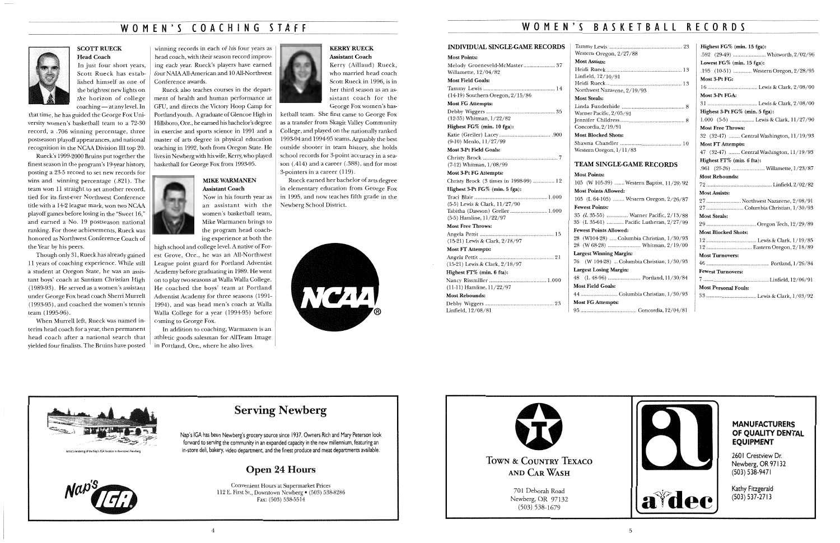# WOMEN'S COACHING STAFF



**SCOTT RUECK** Head Coach

In just four short years, Scott Rueck has established himself as one of the brightest new lights on the horizon of college coaching — at any level. In

that time, he has guided the George Fox University women's basketball team to a 72-30 record, a .706 winning percentage, three postseason playoff appearances, and national recognition in the NCAA Division III top 20.

Rueck's 1999-2000 Bruins put together the finest season in the program's 19-year history, posting a 23-5 record to set new records for wins and winning percentage (.821). The team won 11 straight to set another record, tied for its first-ever Northwest Conference title with a 14-2 league mark, won two NCAA playoff games before losing in the "Sweet 16," and earned a No. 19 postseason national ranking. For those achievements, Rueck was honored as Northwest Conference Coach of the Year by his peers.

Though only 31, Rueck has already gained 11 years of coaching experience. While still a student at Oregon State, he was an assistant boys' coach at Santiam Christian High (1989-93). He served as a women's assistant under George Fox head coach Sheni Murrell (1993-95), and coached the women's tennis team ( 1995-96).

When Murrell left, Rueck was named interim head coach for a year, then permanent head coach after a national search that yielded four finalists. The Bruins have posted high school and college level. A native of Forest Grove, Ore., he was an All-Northwest League point guard for Portland Adventist Academy before graduating in 1989. He went on to play two seasons at Walla Walla College. He coached the boys' team at Portland Adventist Academy for three seasons (1991- 1994), and was head men's coach at Walla Walla College for a year (1994-95) before coming to George Fox.

### **KERRY RUECK** Assistant Coach

winning records in each of his four years as head coach, with their season record improving each year. Rueck's players have earned four NAIAAll-American and 10 All-Northwest Conference awards.

Rueck also teaches courses in the department of health and human performance at GFU, and directs the Victory Hoop Camp for Portland youth. A graduate of Glencoe High in Hillsboro, Ore., he earned his bachelor's degree in exercise and sports science in 1991 and a master of arts degree in physical education teaching in 1992, both from Oregon State. He lives in Newberg with his wife, Kerry, who played basketball for George Fox from 1993-95.

### MIKE WARMANEN Assistant Coach

(12-35) Whitman, 1/22/82 Highest FG% (min. 10 fga):

Now in his fourth year as an assistant with the women's basketball team, Mike Warmanen brings to the program head coaching experience at both the Christy Brock (7-12) Whitman, l/08/99

In addition to coaching, Warmanen is an athletic goods salesman for AllTeam Image in Portland, Ore., where he also lives.



Jennifer Childress ............................................. 8 Concordia,  $2/19/9$ Most Blocked Shot Shawna Chandler Western Oregon, 1 Most Points:  $105$  (W  $105-39$ )... **Most Points Allowe**  $105$  (L 64-105) ... Fewest Points:  $35$  (L  $35-55$ ) .......  $35$  (L  $35-61$ ) ....... Fewest Points Allow  $28$  (W104-28) ..... 28 (W 68-28) ...... Largest Winning M

Kerry (Aillaud) Rueck, who married head coach Scott Rueck in 1996, is in her third season as an assistant coach for the George Fox women's bas-

ketball team. She first came to George Fox as a transfer from Skagit Valley Community College, and played on the nationally ranked 1993-94 and 1994-95 teams. Arguably the best outside shooter in team history, she holds school records for 3-point accuracy in a season (.414) and a career (.388), and for most 3-pointers in a career (119).

> $76$  (W 104-28)... Largest Losing Marg 48 (L 48-96) ....... Most Field Goals:

Rueck earned her bachelor of arts degree in elementary education from George Fox in 1995, and now teaches fifth grade in the Newberg School District.



# Serving Newberg

Nap's IGA has been Newberg's grocery source since 1937. Owners Rich and Mary Peterson look forward to serving the community in an expanded capacity in the new millennium, featuring an in-store deli, bakery, video department, and the finest produce and meat departments available.

# Open 24 Hours

Convenient Hours at Supermarket Prices 112 E. First St., Downtown Newberg • (503) 538-8286 Fax: (503) 538-5514

# **WOMEN'S** B A S K E T B A **L L** RECORDS

### INDIVIDUAL SINGLE-GAME RECORDS

### Most Points:

701 Deborah Road Newberg, OR 97132<br>(503) 538-1679

Melody Groeneveld-McMaster ...................... 3 7 Willamette, 12/04/82 Most Field Goals:

Tammy Lewis .................................................. 14 (14-19) Southern Oregon, 2/15/86

Most FG Attempts: Debby Wiggers ................................................ 35

Katie (Greller) Lacey ..................................... 900 (9-10) Menlo, 11/27/99 Most 3-Pt Field Goals:

### Most 3-Pt FG Attempts: Christy Brock (3 times in 1998-99) ............... 12 Highest 3-Pt FG% (min. 5 fga): Traci Blair ................................................... 1.000 (5-5) Lewis & Clark, 11/27/90

Tabitha (Dawson) Greller .......................... 1.000 (5-5) Harnline, 11/22/97 Most Free Throws: Angela Pettit .................................................... 15 (15-21) Lewis & Clark, 2/18/97 Most FT Attempts: Angela Pettit (15-21) Lewis & Clark, 2/18/97 Highest FT% (min. 6 fta): Nancy Rissmiller ........................................ 1.000 (11-11) Hamline, 11/22/97 Most Rebounds: Debby Wiggers ................................................ 23 Linfield, 12/08/81

### TEAM SINGLE-GAME RECORDS

Most FG Attempts:



Artist's rendering of the Nap's IGA location in downtown Newber



| 105 (W 105-39)  Western Baptist, 11/20/92  |
|--------------------------------------------|
| <b>Most Points Allowed:</b>                |
| 105 (L 64-105)  Western Oregon, 2/26/87    |
| <b>Fewest Points:</b>                      |
| 35 (L 35-55)  Warner Pacific, 2/13/88      |
| 35 (L 35-61)  Pacific Lutheran, 2/27/99    |
| <b>Fewest Points Allowed:</b>              |
| 28 (W104-28)  Columbia Christian, 1/30/93  |
|                                            |
| <b>Largest Winning Margin:</b>             |
| 76 (W 104-28)  Columbia Christian, 1/30/93 |
| <b>Largest Losing Margin:</b>              |
|                                            |
| <b>Most Field Goals:</b>                   |
|                                            |
| <b>Most FG Attempts:</b>                   |
|                                            |



| .592 (29-49)  Whitworth, 2/02/96         |
|------------------------------------------|
| Lowest FG% (min. 15 fga):                |
| .195 (10-51)  Western Oregon, 2/28/95    |
| Most 3-Pt FG:                            |
|                                          |
| Most 3-Pt FGA:                           |
|                                          |
| Highest 3-Pt FG% (min. 5 fga):           |
| 1.000 (5-5)  Lewis & Clark, 11/27/90     |
| <b>Most Free Throws:</b>                 |
| 32 (32-47)  Central Washington, 11/19/93 |
| <b>Most FT Attempts:</b>                 |
| 47 (32-47)  Central Washington, 11/19/93 |
| Highest FT% (min. 6 fta):                |
| .961 (25-26)  Willamette, 1/23/87        |
| <b>Most Rebounds:</b>                    |
|                                          |
| <b>Most Assists:</b>                     |
| 27  Northwest Nazarene, 2/08/91          |
| 27  Columbia Christian, 1/30/93          |
| <b>Most Steals:</b>                      |
|                                          |
| <b>Most Blocked Shots:</b>               |
|                                          |
|                                          |
| <b>Most Turnovers:</b>                   |
|                                          |
| <b>Fewest Turnovers:</b>                 |
|                                          |
| <b>Most Personal Fouls:</b>              |
|                                          |
|                                          |

 $Hichoot FC\%$  (min. 15 fga):

### **MANUFACTURERS OF QUALITY DENTAL EQUIPMENT**

260 | Crestview Dr. Newberg, OR 97132 (503) 538-9471



(503) 537-2713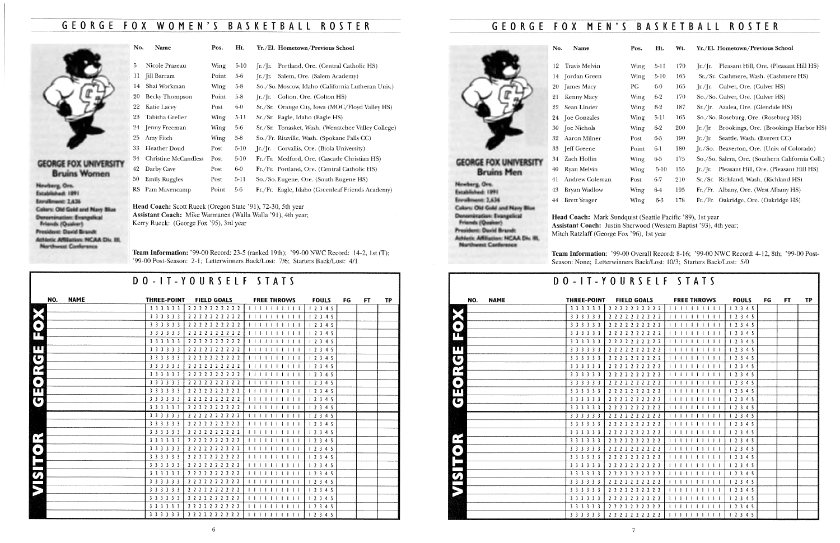# GEORGE FOX WOMEN'S BASKETBAll ROSTER

# GEORGE FOX MEN'S BASKETBALL ROSTER

### GEORGE FOX UNIVERSITY Bruins Women

Newberg, Ore. Established: 189 I Enrollment: 2,636 Colory: Old Gold and Navy Blue Denomination: Evangelical Friends (Quaker) President: David Brandt Athletic Affiliation: NCAA Div. Ill, Northwest Conference

Team Information: '99-00 Record: 23-5 (ranked 19th); '99-00 NWC Record: 14-2, 1st (T); '99-00 Post-Season: 2-1; Letterwinners Back/Lost: 7/6; Starters Back/Lost: 4/1

| No. | Name                 | Pos.  | Ht.    | Yr./El. Hometown/Previous School                           |
|-----|----------------------|-------|--------|------------------------------------------------------------|
|     |                      |       |        |                                                            |
| 5   | Nicole Prazeau       | Wing  | $5-10$ | Portland, Ore. (Central Catholic HS)<br>[r]/[r]            |
| 11  | Jill Barram          | Point | $5-6$  | Salem, Ore. (Salem Academy)<br>$\int$ r./ $\int$ r.        |
| 14  | Shai Workman         | Wing  | $5-8$  | So./So. Moscow, Idaho (California Lutheran Univ.)          |
| 20  | Becky Thompson       | Point | $5-8$  | $[r. / [r. \text{Colton}, \text{Ore.} (\text{Colton HS})]$ |
| 22  | Katie Lacey          | Post  | $6-0$  | Sr./Sr. Orange City, Iowa (MOC/Floyd Valley HS)            |
| 23  | Tabitha Greller      | Wing  | 5-11   | Sr./Sr. Eagle, Idaho (Eagle HS)                            |
| 24  | Jenny Freeman        | Wing  | 5-6    | Sr./Sr. Tonasket, Wash. (Wenatchee Valley College)         |
| 25  | Amy Fitch            | Wing  | $5-8$  | So./Fr. Ritzville, Wash. (Spokane Falls CC)                |
| 33  | Heather Doud         | Post  | $5-10$ | Jr./Jr. Corvallis, Ore. (Biola University)                 |
| 34  | Christine McCandless | Post  | $5-10$ | Fr./Fr. Medford, Ore. (Cascade Christian HS)               |
| 42  | Darby Cave           | Post  | $6-0$  | Fr./Fr. Portland, Ore. (Central Catholic HS)               |
| 50  | <b>Emily Ruggles</b> | Post  | 5-11   | So./So. Eugene, Ore. (South Eugene HS)                     |
| RS. | Pam Mavencamp        | Point | 5-6    | Fr./Fr. Eagle, Idaho (Greenleaf Friends Academy)           |

| NO.<br><b>NAME</b> | <b>THREE-POINT</b> | <b>FIELD GOALS</b>  | <b>FREE THROWS</b> | <b>FOULS</b> | FG | FT. | TP |
|--------------------|--------------------|---------------------|--------------------|--------------|----|-----|----|
|                    | 3 3 3 3 3 3        | 2 2 2 2 2 2 2 2 2 2 | 111111             | 12345        |    |     |    |
|                    | 3 3 3 3 3 3        | 2222222222          | 1111               | 12345        |    |     |    |
| $\bullet$          | 3 3 3 3 3 3        | 2 2 2 2 2 2 2 2 2 2 | 1 1 1 1 1 1 1      | 12345        |    |     |    |
| T                  | 3 3 3 3 3 3        | 2 2 2 2 2 2 2 2 2 2 |                    | 12345        |    |     |    |
|                    | 3 3 3 3 3 3        | 2 2 2 2 2 2 2 2 2 2 |                    | 12345        |    |     |    |
| <b>TTT</b>         | 3 3 3 3 3 3        | 2 2 2 2 2 2 2 2 2 2 | $1111111$          | 12345        |    |     |    |
| $\mathbf{C}$       | 3 3 3 3 3 3        | 2 2 2 2 2 2 2 2 2 2 |                    | 12345        |    |     |    |
| $\sum_{\alpha}$    | 3 3 3 3 3 3        | 2 2 2 2 2 2 2 2 2 2 |                    | 12345        |    |     |    |
|                    | 3 3 3 3 3 3        | 2222222222          | $1 - 1$            | 12345        |    |     |    |
| $\bullet$          | 3 3 3 3 3 3        | 2222222222          |                    | 12345        |    |     |    |
| ПП                 | 3 3 3 3 3 3        | 2 2 2 2 2 2 2 2 2 2 |                    | 12345        |    |     |    |
| $\left(  \right)$  | 3 3 3 3 3 3        | 2 2 2 2 2 2 2 2 2 2 |                    | 12345        |    |     |    |
|                    | 3 3 3 3 3 3        | 2 2 2 2 2 2 2 2 2 2 |                    | 12345        |    |     |    |
|                    | 3 3 3 3 3 3        | 2 2 2 2 2 2 2 2 2 2 |                    | 12345        |    |     |    |
|                    | 3 3 3 3 3 3        | 2 2 2 2 2 2 2 2 2 2 |                    | 12345        |    |     |    |
|                    | 3 3 3 3 3 3        | 222222222           |                    | 12345        |    |     |    |
| $\bullet$          | 3 3 3 3 3 3        | 2 2 2 2 2 2 2 2 2 2 | 111                | 12345        |    |     |    |
| $\bullet$          | 3 3 3 3 3 3        | 222222222           |                    | 12345        |    |     |    |
|                    | 3 3 3 3 3 3        | 2 2 2 2 2 2 2 2 2 2 |                    | 12345        |    |     |    |
|                    | 3 3 3 3 3 3        | 222222222           | $\mathbf{1}$       | 1 2 3 4 5    |    |     |    |
| $\boldsymbol{G}$   | 3 3 3 3 3 3        | 2222222222          |                    | 12345        |    |     |    |
|                    | 3 3 3 3 3 3        | 2222222222          |                    | 12345        |    |     |    |
|                    | 3 3 3 3 3 3        | 2222222222          |                    | 12345        |    |     |    |
|                    | 3 3 3 3 3 3        | 2 2 2 2 2 2 2 2 2 2 |                    | 12345        |    |     |    |
|                    | 3 3 3 3 3 3        | 2222222222          |                    | 12345        |    |     |    |
|                    | 3 3 3 3 3 3        | 2 2 2 2 2 2 2 2 2 2 | 1 1 1 1 1 1 1 1 1  | 12345        |    |     |    |

Head Coach: Scott Rueck (Oregon State '91), 72-30, 5th year Assistant Coach: Mike Warmanen (Walla Walla '91), 4th year; Kerry Rueck: (George Fox '95), 3rd year

> Team Information: '99-00 Overall Record: 8-16; '99-00 NWC Record: 4-12, 8th; '99-00 Post-Season: None; Letterwinners Back/Lost: 10/3; Starters Back/Lost: 5/0

# DO-IT-YOURSElF STATS

| Pos.        | Ht.      | Wt. | Yr./El. Hometown/Previous School                                                                              |
|-------------|----------|-----|---------------------------------------------------------------------------------------------------------------|
| Wing        | 5-11     | 170 | Pleasant Hill, Ore. (Pleasant Hill HS)<br>[r]/[r]                                                             |
| Wing        | $5-10$   | 165 | Sr./Sr. Cashmere, Wash. (Cashmere HS)                                                                         |
| PG          | $6-0$    | 165 | Culver, Ore. (Culver HS)<br>$\left[\frac{\text{r}}{\text{r}}\right]$ $\left[\frac{\text{r}}{\text{r}}\right]$ |
| Wing        | $6-2$    | 170 | So./So. Culver, Ore. (Culver HS)                                                                              |
| Wing        | $6-2$    | 187 | Sr./Jr. Azalea, Ore. (Glendale HS)                                                                            |
| Wing        | 5-11     | 165 | So./So. Roseburg, Ore. (Roseburg HS)                                                                          |
| Wing        | $6 - 2$  | 200 | Brookings, Ore. (Brookings Harbor HS)<br>[r]/[r]                                                              |
| Post        | 6-5      | 190 | Seattle, Wash. (Everett CC)<br>Ir./Ir. $\blacksquare$                                                         |
| Point       | 6-1      | 180 | Jr./So. Beaverton, Ore. (Univ. of Colorado)                                                                   |
| Wing        | 6-5      | 175 | So./So. Salem, Ore. (Southern California Coll.)                                                               |
| Wing        | $5 - 10$ | 155 | Pleasant Hill, Ore. (Pleasant Hill HS)<br>[r]/[r]                                                             |
| Post        | $6 - 7$  | 210 | Sr./Sr. Richland, Wash. (Richland HS)                                                                         |
| <b>Wing</b> | 64       | 195 | Fr./Fr. Albany, Ore. (West Albany HS)                                                                         |
| Wing        | 6-3      | 178 | Fr./Fr. Oakridge, Ore. (Oakridge HS)                                                                          |



|                |     |             |                    | DO-IT-YOURSELF STATS |                            |              |    |     |           |
|----------------|-----|-------------|--------------------|----------------------|----------------------------|--------------|----|-----|-----------|
|                | NO. | <b>NAME</b> | <b>THREE-POINT</b> | <b>FIELD GOALS</b>   | <b>FREE THROWS</b>         | <b>FOULS</b> | FG | FT. | <b>TP</b> |
|                |     |             | 3 3 3 3 3 3        | 2 2 2 2 2 2 2 2 2 2  | 11111111111                | 12345        |    |     |           |
|                |     |             | 3 3 3 3 3 3        | 2 2 2 2 2 2 2 2 2 2  |                            | 12345        |    |     |           |
|                |     |             | 3 3 3 3 3 3        | 2222222222           |                            | 12345        |    |     |           |
| CH             |     |             | 3 3 3 3 3 3        | 2 2 2 2 2 2 2 2 2 2  | 1111111111                 | 12345        |    |     |           |
|                |     |             | 3 3 3 3 3 3        | 2222222222           |                            | 12345        |    |     |           |
|                |     |             | 3 3 3 3 3 3        | 2 2 2 2 2 2 2 2 2 2  | .                          | 12345        |    |     |           |
|                |     |             | 3 3 3 3 3 3        | 2 2 2 2 2 2 2 2 2 2  | 1   1   1   1   1   1      | 12345        |    |     |           |
|                |     |             | 3 3 3 3 3 3        | 2 2 2 2 2 2 2 2 2 2  | 1 1 1 1 1 1 1 1 1 1        | 12345        |    |     |           |
| ED. 10         |     |             | 3 3 3 3 3 3        | 2 2 2 2 2 2 2 2 2 2  | <b>I I I I I I I I I I</b> | 12345        |    |     |           |
|                |     |             | 3 3 3 3 3 3        | 2 2 2 2 2 2 2 2 2 2  |                            | 12345        |    |     |           |
|                |     |             | 3 3 3 3 3 3        | 2 2 2 2 2 2 2 2 2 2  |                            | 12345        |    |     |           |
| G              |     |             | 3 3 3 3 3 3        | 2 2 2 2 2 2 2 2 2 2  | 111111111                  | 12345        |    |     |           |
|                |     |             | 3 3 3 3 3 3        | 2 2 2 2 2 2 2 2 2 2  | 111111111                  | 12345        |    |     |           |
|                |     |             | 3 3 3 3 3 3        | 2222222222           | 1111111111                 | 12345        |    |     |           |
|                |     |             | 3 3 3 3 3 3        | 2 2 2 2 2 2 2 2 2 2  | 1 1 1 1 1 1 1 1 1 1 1      | 12345        |    |     |           |
|                |     |             | 3 3 3 3 3 3        | 2 2 2 2 2 2 2 2 2 2  | 1111111111                 | 12345        |    |     |           |
| $\overline{a}$ |     |             | 3 3 3 3 3 3        | 2 2 2 2 2 2 2 2 2 2  | 1111111111                 | 12345        |    |     |           |
|                |     |             | 3 3 3 3 3 3        | 2 2 2 2 2 2 2 2 2 2  | 1 1 1 1 1 1 1 1 1 1        | 12345        |    |     |           |
|                |     |             | 3 3 3 3 3 3        | 2 2 2 2 2 2 2 2 2 2  | 1   1                      | 12345        |    |     |           |
|                |     |             | 3 3 3 3 3 3        | 2 2 2 2 2 2 2 2 2 2  | 111111111                  | 12345        |    |     |           |
|                |     |             | 3 3 3 3 3 3        | 2222222222           | 111111111111               | 12345        |    |     |           |
| VISTIC)        |     |             | 3 3 3 3 3 3        | 2 2 2 2 2 2 2 2 2 2  | 1 1 1 1 1 1 1 1 1 1        | 12345        |    |     |           |
|                |     |             | 3 3 3 3 3 3        | 2 2 2 2 2 2 2 2 2 2  | 111111111111               | 12345        |    |     |           |
|                |     |             | 3 3 3 3 3 3        | 2 2 2 2 2 2 2 2 2 2  | 1111111111                 | 12345        |    |     |           |
|                |     |             | 3 3 3 3 3 3        | 2 2 2 2 2 2 2 2 2 2  | 11111111111                | 12345        |    |     |           |
|                |     |             | 3 3 3 3 3 3        | 2 2 2 2 2 2 2 2 2 2  | 111111111111               | 12345        |    |     |           |

Head Coach: Mark Sundquist (Seattle Pacific '89), 1st year Assistant Coach: Justin Sherwood (Western Baptist '93), 4th year; Mitch Ratzlaff (George Fox '96), 1st year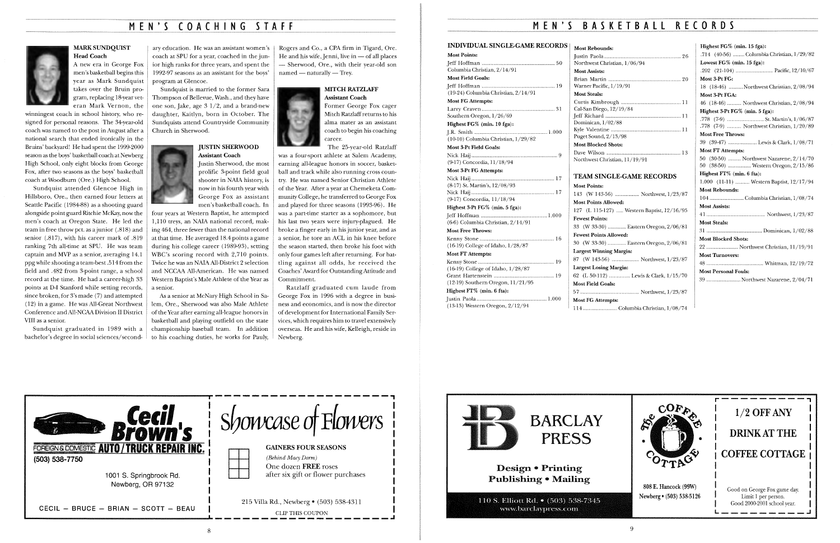### M E N ' S COACHING *S* T A F F



### MARK SUNDQUIST Head Coach

A new era in George Fox men's basketball begins this year as Mark Sundquist takes over the Bruin program, replacing 18-year veteran Mark Vernon, the

winningest coach in school history, who resigned for personal reasons. The 34-year-old coach was named to the post in August after a national search that ended ironically in the Bruins' backyard! He had spent the 1999-2000 season as the boys' basketball coach at Newberg High School, only eight blocks from George Fox, after two seasons as the boys' basketball coach at Woodburn (Ore.) High School.

Sundquist attended Glencoe High in Hillsboro, Ore., then earned four letters at Seattle Pacific (1984-88) as a shooting guard alongside point guard Ritchie McKay, now the men's coach at Oregon State. He led the team in free throw pet. as a junior (.818) and senior (.817), with his career mark of .819 ranking 7th all-time at SPU. He was team captain and MVP as a senior, averaging 14.1 ppg while shooting a team-best .514 from the field and .482 from 3-point range, a school record at the time. He had a career-high 33 points at D-I Stanford while setting records, since broken, for 3's made (7) and attempted (12) in a game. He was All-Great Northwest Conference and All-NCAA Division II District VIII as a senior.

Rogers and Co., a CPA firm in Tigard, Ore. He and his wife, Jenni, live in  $-$  of all places - Sherwood, Ore., with their year-old son  $n$ named — naturally — Trey.

Sundquist graduated in 1989 with a bachelor's degree in social sciences/second-

ary education. He was an assistant women's coach at SPU for a year, coached in the junior high ranks for three years, and spent the 1992-97 seasons as an assistant for the boys' program at Glencoe.

Sundquist is married to the former Sara Thompson of Bellevue, Wash., and they have one son, Jake, age  $3 \frac{1}{2}$ , and a brand-new daughter, Kaitlyn, born in October. The Sundquists attend Countryside Community Church in Sherwood.



Ratzlaff graduated cum laude from George Fox in 1996 with a degree in business and economics, and is now the director of development for International Family Services, which requires him to travel extensively overseas. He and his wife, Kelleigh, reside in Newberg.

### JUSTIN SHERWOOD Assistant Coach

# MEN'S BASKETBALL RECORDS

Justin Sherwood, the most prolific 3-point field goal shooter in NAIA history, is now in his fourth year with George Fox as assistant men's basketball coach. In four years at Western Baptist, he attempted

#### INDIVIDUAL SINGLE-GAME RECORDS Jeff Hoffman ................................................... 50 Columbia Christian, 2/14/91 Most Field Goals: Jeff Hoffman ................................................... 19 ( 19-24) Columbia Christian, 2/14/91 Most FG Attempts: Southern Oregon, 1/26/69 Highest FG% (min. 10 fga): JR. Smith ................................................... 1.000  $(10-10)$  Columbia Christian,  $1/29/82$ Most 3-Pt Field Goals: (9-17) Concordia, ll/18/94 Most 3-Pt FG Attempts: Nick Haij .......................................................... 17 (8-17) St. Martin's, 12/08/93 Nick Haij .......................................................... 17 (9-17) Concordia, ll/18/94 Highest 3-Pt FG% (min. 5 fga): Jeff Hoffman .............................................. 1.000 (6-6) Columbia Christian, 2/14/91 Most Free Throws: Kenny Stone .................................................... 16 (16-19) College ofldaho, l/28/87 Most FT Attempts: Kenny Stone ..................................................... 19  $(16-19)$  College of Idaho,  $1/28/87$ Grant Hartenstein .......................................... 19 (12-19) Southern Oregon, ll/21/95 Highest FT% (min. 6 fta): Most Rebounds: Justin Paola ......... Northwest Christian Most Assists: Brian Martin. Warner Pacific,  $1/19$ Most Steals: Curtis Kimbrough Cal-San Diego, 12/ Jeff Richard . Dominican,  $1/02/8$ Kyle Valentine .... Puget Sound,  $2/13/9$ Most Blocked Shot Dave Wilson ........ Northwest Christian Most Points:  $143$  (W 143-56)... Most Points Allowe 127 (L 115-127) Fewest Points:  $33$  (W  $33-30$ ) ....... Fewest Points Allow  $30 \cdot (W 33-30)$  ....... Largest Winning Ma 87 (W 143-56) ... Largest Losing Mar 62  $(L 50-112)$  .......

1,110 treys, an NAIA national record, making 464, three fewer than the national record at that time. He averaged 18.4 points a game during his college career (1989-93), setting WBC's scoring record with 2,710 points. Twice he was an NAIAAll-District 2 selection and NCCAA All-American. He was named Western Baptist's Male Athlete of the Year as a senior.

As a senior at McNary High School in Salem, Ore., Sherwood was also Male Athlete of the Year after earning all-league honors in basketball and playing outfield on the state championship baseball team. In addition to his coaching duties, he works for Pauly,

### MITCH RATZLAFF Assistant Coach

Former George Fox eager Mitch Ratzlaff returns to his alma mater as an assistant coach to begin his coaching



The 25-year-old Ratzlaff

was a four-sport athlete at Salem Academy, earning all-league honors in soccer, basketball and track while also running cross country. He was named Senior Christian Athlete of the Year. After a year at Chemeketa Community College, he transferred to George Fox and played for three seasons ( 1993-96). He was a part-time starter as a sophomore, but his last two years were injury-plagued. He broke a finger early in his junior year, and as a senior, he tore an ACL in his knee before the season started, then broke his foot with only four games left after returning. For battling against all odds, he received the Coaches' Award for Outstanding Attitude and Commitment.

| <b>sfecil<br/>Brown's</b><br>Ł.<br>FOREIGNS DOMESTIC AUTO / TRUCK REPAIR INC.<br>(503) 538-7750<br>1001 S. Springbrook Rd.<br>Newberg, OR 97132 | Showcase of Flowers<br><b>GAINERS FOUR SEASONS</b><br>(Behind Macy Dorm)<br>One dozen <b>FREE</b> roses<br>after six gift or flower purchases |
|-------------------------------------------------------------------------------------------------------------------------------------------------|-----------------------------------------------------------------------------------------------------------------------------------------------|
| CECIL - BRUCE - BRIAN - SCOTT - BEAU                                                                                                            | 215 Villa Rd., Newberg • (503) 538-4311<br><b>CLIP THIS COUPON</b>                                                                            |

#### 8

| n, 1/06/94        |  |
|-------------------|--|
| 9/91              |  |
| 19/84             |  |
| ß,                |  |
| /98               |  |
| s.<br>n, 11/19/91 |  |

Most Points:

Larry Craven...

Nick Haij.

Justin Paola ................................................. 1.000 (13-13) Western Oregon, 2/12/94

### TEAM SINGLE-GAME RECORDS

| 143 (W 143-56)  Northwest, 1/23/87         |
|--------------------------------------------|
| <b>Most Points Allowed:</b>                |
| 127 (L 115-127)  Western Baptist, 12/16/95 |
| <b>Fewest Points:</b>                      |
| 33 (W 33-30)  Eastern Oregon, 2/06/81      |
| <b>Fewest Points Allowed:</b>              |
| 30 (W 33-30)  Eastern Oregon, 2/06/81      |
| Largest Winning Margin:                    |
| 87 (W 143-56)  Northwest, 1/23/87          |
| <b>Largest Losing Margin:</b>              |
| 62 (L 50-112)  Lewis & Clark, 1/15/70      |
| <b>Most Field Goals:</b>                   |
|                                            |
| <b>Most FG Attempts:</b>                   |
| $114$ $0.1 \tanh 0.1 \tanh 1/0.074$        |

Most Field Goals: Most FG Attempts: 114 ........................ Columbia Christian, 1/08/74 Highest FG% (min. 15 fga):

| Highest $FG\%$ (min. 15 fga):               |
|---------------------------------------------|
| .714 (40-56)  Columbia Christian, 1/29/82   |
| Lowest FG% (min. 15 fga):                   |
|                                             |
| Most 3-Pt FG:                               |
| 18 (18-46)  Northwest Christian, 2/08/94    |
| Most 3-Pt FGA:                              |
| 46 (18-46)  Northwest Christian, 2/08/94    |
| Highest 3-Pt FG% (min. 5 fga):              |
| .778 (7-9)  St. Martin's, 1/06/87           |
| .778 (7-9)  Northwest Christian, 1/20/89    |
| <b>Most Free Throws:</b>                    |
| 39 (39-47)  Lewis & Clark, 1/08/71          |
| <b>Most FT Attempts:</b>                    |
| 50 (30-50)  Northwest Nazarene, 2/14/70     |
| 50 (38-50)  Western Oregon, 2/15/86         |
| Highest FT% (min. 6 fta):                   |
| 1.000 $(11-11)$ Western Baptist, $12/17/94$ |
| <b>Most Rebounds:</b>                       |
| 104  Columbia Christian, 1/08/74            |
| <b>Most Assists:</b>                        |
|                                             |
| <b>Most Steals:</b>                         |
|                                             |
| <b>Most Blocked Shots:</b>                  |
| 22  Northwest Christian, 11/19/91           |
| <b>Most Turnovers:</b>                      |
|                                             |
| <b>Most Personal Fouls:</b>                 |
| 39  Northwest Nazarene, 2/04/71             |
|                                             |



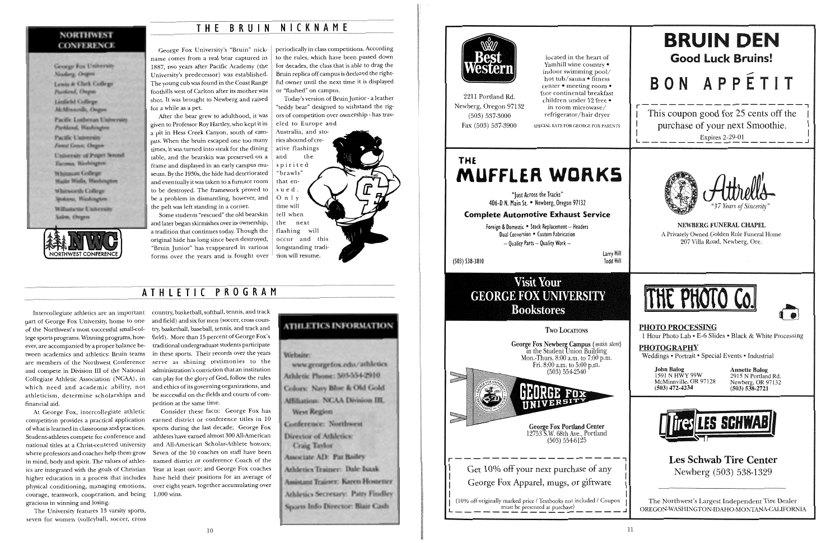George Fox University's "Bruin" nickname comes from a real bear captured in 1887, two years after Pacific Academy (the University's predecessor) was established. The young cub was found in the Coast Range foothills west of Carlton after its mother was shot. It was brought to Newberg and raised for a while as a pet.

# **T H E B R U I N NICKNAME**

### **NORTHWEST CONFERENCE**

Greege Fox University Neaderg: Orogon

Lewis & Clark College Particul, Orogan Linfield College McMosacrille, Orogon

Pacific Luthercan University Flashland, Washington

Pacific University Format Grenor, Chagana

University of Paget Sound Tacoma, Washington

Whitman College Walla Walls, Washington

Whinworth College Spokana, Washington

Williamethe University Salem, Orogen.



Mter the bear grew to adulthood, it was given to Professor Roy Hartley, who kept it in a pit in Hess Creek Canyon, south of campus. When the bruin escaped one too many times, it was turned into steak for the dining table, and the bearskin was preserved on a frame and displayed in an early campus museum. By the 1930s, the hide had deteriorated and eventually it was taken to a furnace room to be destroyed. The framework proved to be a problem in dismantling, however, and the pelt was left standing in a corner.

Some students "rescued" the old bearskin and later began skirmishes over its ownership, a tradition that continues today. Though the original hide has long since been destroyed, "Bruin Junior" has reappeared in various forms over the years and is fought over periodically in class competitions. According to the rules, which have been passed down for decades, the class that is able to drag the Bruin replica off campus is declared the rightful owner until the next time it is displayed or "flashed" on campus.

Today's version of Bruin junior- a leather "teddy bear" designed to withstand the rigors of competition over ownership- has trav-



eled to Europe and Australia, and stories abound of creative flashings and the spirited "brawls" that ensued. 0 n I y time will tell when the next flashing will occur and this longstanding tradition will resume.

part of George Fox University, home to one of the Northwest's most successful small-college sports programs. Winning programs, however, are accompanied by a proper balance between academics and athletics: Bruin teams are members of the Northwest Conference and compete in Division III of the National Collegiate Athletic Association (NCAA), in which need and academic ability, not financial aid.

"Iust Across the Tracks" 406-D N. Main St. • Newberg, Oregon 97132

At George Fox, intercollegiate athletic competition provides a practical application of what is learned in classrooms and practices. Student-athletes compete for conference and national titles at a Christ-centered university where professors and coaches help them grow in mind, body and spirit. The values of athletics are integrated with the goals of Christian higher education in a process that includes physical conditioning, managing emotions, courage, teamwork, cooperation, and being gracious in winning and losing.

Intercollegiate athletics are an important country, basketball, softball, tennis, and track athleticism, determine scholarships and be successful on the fields and courts of comand field) and six for men (soccer, cross country, basketball, baseball, tennis, and track and field). More than 15 percent of George Fox's traditional undergraduate students participate in these sports. Their records over the years serve as shining testimonies to the administration's conviction that an institution can play for the glory of God, follow the rules and ethics of its governing organizations, and petition at the same time.

The University features 13 varsity sports, seven for women (volleyball, soccer, cross

Consider these facts: George Fox has earned district or conference titles in 10 sports during the last decade; George Fox athletes have earned almost 300 All-American and All-American Scholar-Athlete honors; Seven of the 10 coaches on staff have been named district or conference Coach of the Year at least once; and George Fox coaches have held their positions for an average of over eight years, together accumulating over 1,000 wins.

### **ATHLETICS INFORMATION**

Websine:

www.georgefox.edu/athletics Athletic Phone: 503-554-2910 Colors: Navy Blue & Old Gold **Affiliation: NCAA Division III. West Region** 

Conference: Northwest Director of Athletics:

**Craig Taylor** Associate AD: Pat Bailey Athletics Trainer: Dale Isaak **Assistant Trainer: Karen Hostetter** Athletics Secretary: Patty Findley

Sports Info Director: Blair Cash



located in the heart of Yamhill wine country  $\bullet$ indoor swimming pool/ hot tub/sauna • fitness center • meeting room • free continental breakfast children under 12 free • in room microwave/ refrigerator /hair dryer

Fax (503) 537-3900 SPECIAL RATE FOR GEORGE FOX PARENTS

2211 Portland Rd. Newberg, Oregon 97132 (503) 537-3000

# **THf MUFFLER WORKS**

**Complete Automotive Exhaust Service** 

Foreign & Domestic . Stock Replacement - Headers Dual Conversion • Custom Fabrication  $-$  Quality Parts - Quality Work  $-$ 

(503) 538-3810

larry Hill Todd Hill

# **Visit Your GEORGE FOX UNIVERSITY Bookstores**

Two LOCATIONS George Fox Newberg Campus *(main store)*  m the Student Union Building Mon.-Thurs.  $8:00$  a.m. to  $7:00$  p.m. Fri. 8:00 a.m. to 5:00 p.m. (503) 554-2540 George Fox Portland Center 12753 S.W. 68th Ave., Portland (503) 554-6125 **r------------------,**  Get 10% off your next purchase of any  $\left[ \begin{array}{ccc} \cdot & \cdot & \cdot & \cdot \\ \cdot & \cdot & \cdot & \cdot \\ \cdot & \cdot & \cdot & \cdot \end{array} \right]$ <sup>1</sup>George Fox Apparel, mugs, or giftware **<sup>1</sup>** |<br>| 10% off originally marked price / Textbooks not included / Coupon | must be presented at purchase) ------------------~